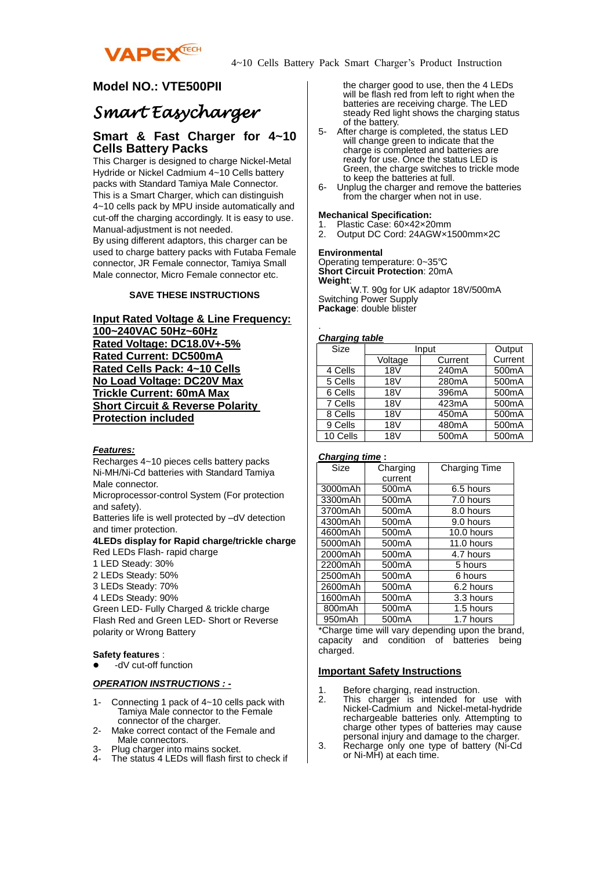

## **Model NO.: VTE500PII**

# *Smart Easycharger*

## **Smart & Fast Charger for 4~10 Cells Battery Packs**

This Charger is designed to charge Nickel-Metal Hydride or Nickel Cadmium 4~10 Cells battery packs with Standard Tamiya Male Connector. This is a Smart Charger, which can distinguish 4~10 cells pack by MPU inside automatically and cut-off the charging accordingly. It is easy to use. Manual-adjustment is not needed. By using different adaptors, this charger can be used to charge battery packs with Futaba Female connector, JR Female connector, Tamiya Small Male connector, Micro Female connector etc.

#### **SAVE THESE INSTRUCTIONS**

### **Input Rated Voltage & Line Frequency: 100~240VAC 50Hz~60Hz Rated Voltage: DC18.0V+-5% Rated Current: DC500mA Rated Cells Pack: 4~10 Cells No Load Voltage: DC20V Max Trickle Current: 60mA Max Short Circuit & Reverse Polarity Protection included**

#### *Features:*

Recharges 4~10 pieces cells battery packs Ni-MH/Ni-Cd batteries with Standard Tamiya Male connector.

Microprocessor-control System (For protection and safety).

Batteries life is well protected by –dV detection and timer protection.

#### **4LEDs display for Rapid charge/trickle charge** Red LEDs Flash- rapid charge

- 1 LED Steady: 30%
- 2 LEDs Steady: 50%
- 3 LEDs Steady: 70%
- 4 LEDs Steady: 90%

Green LED- Fully Charged & trickle charge Flash Red and Green LED- Short or Reverse polarity or Wrong Battery

#### **Safety features** :

-dV cut-off function

#### *OPERATION INSTRUCTIONS : -*

- 1- Connecting 1 pack of 4~10 cells pack with Tamiya Male connector to the Female connector of the charger.
- 2- Make correct contact of the Female and Male connectors.
- 3- Plug charger into mains socket.<br>4- The status 4.1 EDs will flash first
- The status 4 LEDs will flash first to check if

the charger good to use, then the 4 LEDs will be flash red from left to right when the batteries are receiving charge. The LED steady Red light shows the charging status of the battery.

- 5- After charge is completed, the status LED will change green to indicate that the charge is completed and batteries are ready for use. Once the status LED is Green, the charge switches to trickle mode to keep the batteries at full.
- 6- Unplug the charger and remove the batteries from the charger when not in use.

#### **Mechanical Specification:**

- 1. Plastic Case: 60×42×20mm<br>2. Output DC Cord: 24AGW×1
- 2. Output DC Cord: 24AGW×1500mm×2C

#### **Environmental**

Operating temperature: 0~35℃ **Short Circuit Protection**: 20mA **Weight**:

 W.T. 90g for UK adaptor 18V/500mA Switching Power Supply **Package**: double blister

#### *Charging table*

.

| $\frac{9ng\log wmc}{2}$ |            |                    |         |  |
|-------------------------|------------|--------------------|---------|--|
| <b>Size</b>             | Input      |                    | Output  |  |
|                         | Voltage    | Current            | Current |  |
| 4 Cells                 | <b>18V</b> | 240mA              | 500mA   |  |
| 5 Cells                 | <b>18V</b> | 280mA              | 500mA   |  |
| 6 Cells                 | <b>18V</b> | 396mA              | 500mA   |  |
| 7 Cells                 | <b>18V</b> | 423mA              | 500mA   |  |
| 8 Cells                 | 18V        | 450 <sub>m</sub> A | 500mA   |  |
| 9 Cells                 | <b>18V</b> | 480mA              | 500mA   |  |
| 10 Cells                | <b>18V</b> | 500 <sub>m</sub> A | 500mA   |  |

#### *Charging time* **:**

| Size    | Charging           | Charging Time |
|---------|--------------------|---------------|
|         | current            |               |
| 3000mAh | 500 <sub>m</sub> A | 6.5 hours     |
| 3300mAh | 500 <sub>m</sub> A | 7.0 hours     |
| 3700mAh | 500 <sub>m</sub> A | 8.0 hours     |
| 4300mAh | 500 <sub>m</sub> A | 9.0 hours     |
| 4600mAh | 500 <sub>m</sub> A | 10.0 hours    |
| 5000mAh | 500 <sub>m</sub> A | 11.0 hours    |
| 2000mAh | 500 <sub>m</sub> A | 4.7 hours     |
| 2200mAh | 500 <sub>m</sub> A | 5 hours       |
| 2500mAh | 500 <sub>m</sub> A | 6 hours       |
| 2600mAh | 500 <sub>m</sub> A | 6.2 hours     |
| 1600mAh | 500 <sub>m</sub> A | 3.3 hours     |
| 800mAh  | 500 <sub>m</sub> A | 1.5 hours     |
| 950mAh  | 500 <sub>m</sub> A | 1.7 hours     |

\*Charge time will vary depending upon the brand, capacity and condition of batteries being charged.

#### **Important Safety Instructions**

- 1. Before charging, read instruction.
- 2. This charger is intended for use with Nickel-Cadmium and Nickel-metal-hydride rechargeable batteries only. Attempting to charge other types of batteries may cause personal injury and damage to the charger.
- 3. Recharge only one type of battery (Ni-Cd or Ni-MH) at each time.